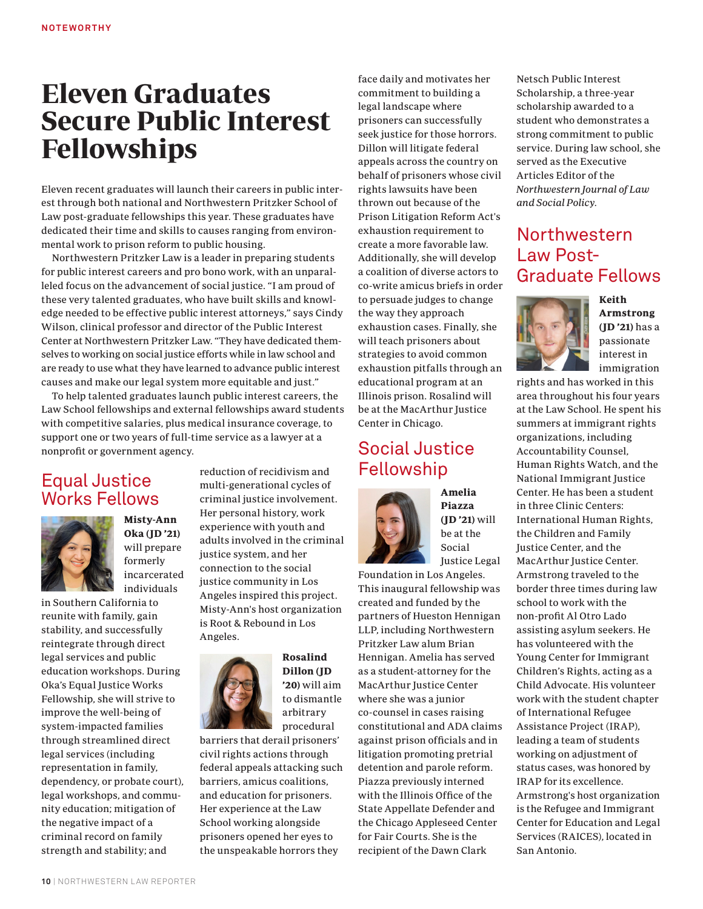## Eleven Graduates Secure Public Interest Fellowships

Eleven recent graduates will launch their careers in public interest through both national and Northwestern Pritzker School of Law post-graduate fellowships this year. These graduates have dedicated their time and skills to causes ranging from environmental work to prison reform to public housing.

Northwestern Pritzker Law is a leader in preparing students for public interest careers and pro bono work, with an unparalleled focus on the advancement of social justice. "I am proud of these very talented graduates, who have built skills and knowledge needed to be effective public interest attorneys," says Cindy Wilson, clinical professor and director of the Public Interest Center at Northwestern Pritzker Law. "They have dedicated themselves to working on social justice efforts while in law school and are ready to use what they have learned to advance public interest causes and make our legal system more equitable and just."

To help talented graduates launch public interest careers, the Law School fellowships and external fellowships award students with competitive salaries, plus medical insurance coverage, to support one or two years of full-time service as a lawyer at a nonprofit or government agency.

## Equal Justice Works Fellows



Misty-Ann Oka (JD '21) will prepare formerly incarcerated individuals

in Southern California to reunite with family, gain stability, and successfully reintegrate through direct legal services and public education workshops. During Oka's Equal Justice Works Fellowship, she will strive to improve the well-being of system-impacted families through streamlined direct legal services (including representation in family, dependency, or probate court), legal workshops, and community education; mitigation of the negative impact of a criminal record on family strength and stability; and

reduction of recidivism and multi-generational cycles of criminal justice involvement. Her personal history, work experience with youth and adults involved in the criminal justice system, and her connection to the social justice community in Los Angeles inspired this project. Misty-Ann's host organization is Root & Rebound in Los Angeles.



Rosalind Dillon (JD '20) will aim to dismantle arbitrary procedural

barriers that derail prisoners' civil rights actions through federal appeals attacking such barriers, amicus coalitions, and education for prisoners. Her experience at the Law School working alongside prisoners opened her eyes to the unspeakable horrors they

face daily and motivates her commitment to building a legal landscape where prisoners can successfully seek justice for those horrors. Dillon will litigate federal appeals across the country on behalf of prisoners whose civil rights lawsuits have been thrown out because of the Prison Litigation Reform Act's exhaustion requirement to create a more favorable law. Additionally, she will develop a coalition of diverse actors to co-write amicus briefs in order to persuade judges to change the way they approach exhaustion cases. Finally, she will teach prisoners about strategies to avoid common exhaustion pitfalls through an educational program at an Illinois prison. Rosalind will be at the MacArthur Justice Center in Chicago.

## Social Justice Fellowship



Amelia Piazza (JD '21) will be at the Social Justice Legal

Foundation in Los Angeles. This inaugural fellowship was created and funded by the partners of Hueston Hennigan LLP, including Northwestern Pritzker Law alum Brian Hennigan. Amelia has served as a student-attorney for the MacArthur Justice Center where she was a junior co-counsel in cases raising constitutional and ADA claims against prison officials and in litigation promoting pretrial detention and parole reform. Piazza previously interned with the Illinois Office of the State Appellate Defender and the Chicago Appleseed Center for Fair Courts. She is the recipient of the Dawn Clark

Netsch Public Interest Scholarship, a three-year scholarship awarded to a student who demonstrates a strong commitment to public service. During law school, she served as the Executive Articles Editor of the Northwestern Journal of Law and Social Policy.

## Northwestern Law Post-Graduate Fellows



Keith Armstrong (JD '21) has a passionate interest in immigration

rights and has worked in this area throughout his four years at the Law School. He spent his summers at immigrant rights organizations, including Accountability Counsel, Human Rights Watch, and the National Immigrant Justice Center. He has been a student in three Clinic Centers: International Human Rights, the Children and Family Justice Center, and the MacArthur Justice Center. Armstrong traveled to the border three times during law school to work with the non-profit Al Otro Lado assisting asylum seekers. He has volunteered with the Young Center for Immigrant Children's Rights, acting as a Child Advocate. His volunteer work with the student chapter of International Refugee Assistance Project (IRAP), leading a team of students working on adjustment of status cases, was honored by IRAP for its excellence. Armstrong's host organization is the Refugee and Immigrant Center for Education and Legal Services (RAICES), located in San Antonio.